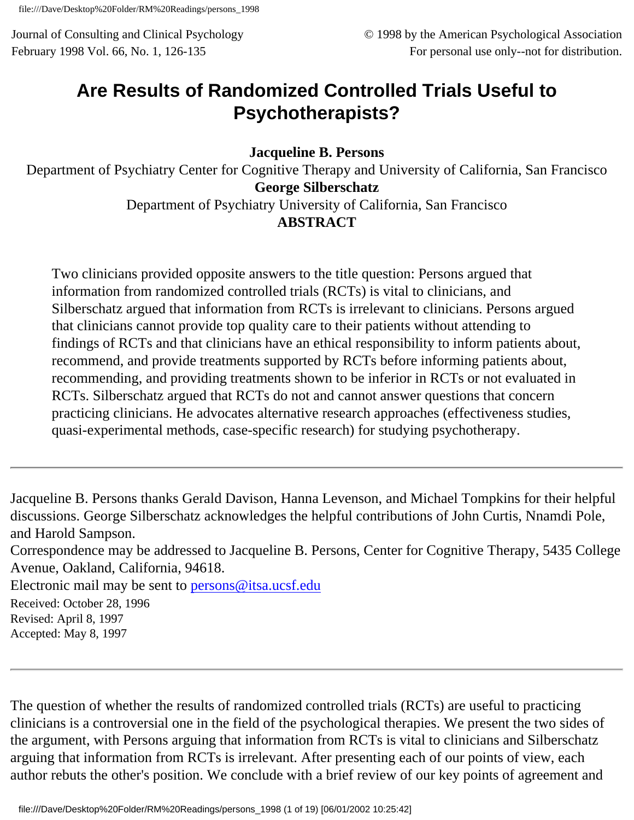## **Are Results of Randomized Controlled Trials Useful to Psychotherapists?**

**Jacqueline B. Persons**

Department of Psychiatry Center for Cognitive Therapy and University of California, San Francisco **George Silberschatz** Department of Psychiatry University of California, San Francisco

#### **ABSTRACT**

Two clinicians provided opposite answers to the title question: Persons argued that information from randomized controlled trials (RCTs) is vital to clinicians, and Silberschatz argued that information from RCTs is irrelevant to clinicians. Persons argued that clinicians cannot provide top quality care to their patients without attending to findings of RCTs and that clinicians have an ethical responsibility to inform patients about, recommend, and provide treatments supported by RCTs before informing patients about, recommending, and providing treatments shown to be inferior in RCTs or not evaluated in RCTs. Silberschatz argued that RCTs do not and cannot answer questions that concern practicing clinicians. He advocates alternative research approaches (effectiveness studies, quasi-experimental methods, case-specific research) for studying psychotherapy.

Jacqueline B. Persons thanks Gerald Davison, Hanna Levenson, and Michael Tompkins for their helpful discussions. George Silberschatz acknowledges the helpful contributions of John Curtis, Nnamdi Pole, and Harold Sampson. Correspondence may be addressed to Jacqueline B. Persons, Center for Cognitive Therapy, 5435 College Avenue, Oakland, California, 94618. Electronic mail may be sent to [persons@itsa.ucsf.edu](mailto:persons@itsa.ucsf.edu) Received: October 28, 1996 Revised: April 8, 1997

Accepted: May 8, 1997

The question of whether the results of randomized controlled trials (RCTs) are useful to practicing clinicians is a controversial one in the field of the psychological therapies. We present the two sides of the argument, with Persons arguing that information from RCTs is vital to clinicians and Silberschatz arguing that information from RCTs is irrelevant. After presenting each of our points of view, each author rebuts the other's position. We conclude with a brief review of our key points of agreement and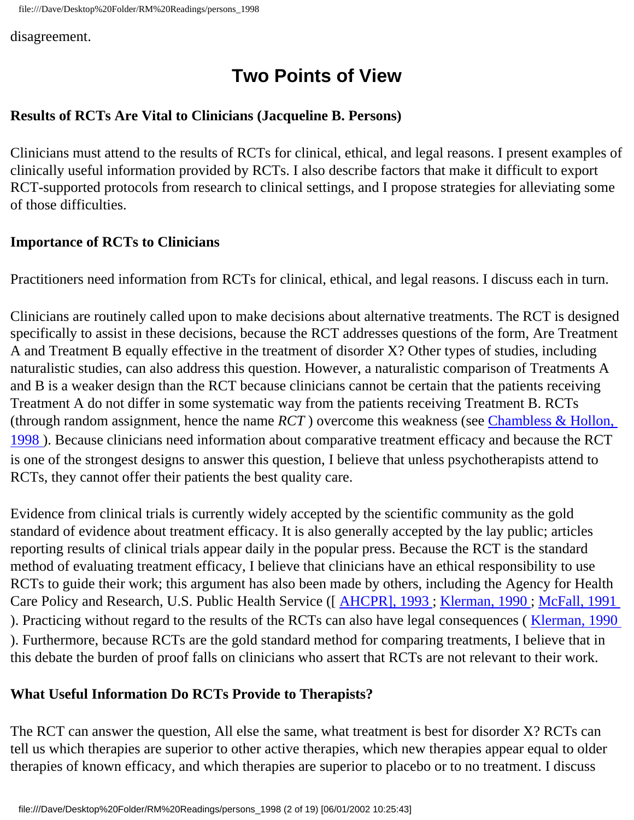disagreement.

## **Two Points of View**

#### **Results of RCTs Are Vital to Clinicians (Jacqueline B. Persons)**

Clinicians must attend to the results of RCTs for clinical, ethical, and legal reasons. I present examples of clinically useful information provided by RCTs. I also describe factors that make it difficult to export RCT-supported protocols from research to clinical settings, and I propose strategies for alleviating some of those difficulties.

#### **Importance of RCTs to Clinicians**

Practitioners need information from RCTs for clinical, ethical, and legal reasons. I discuss each in turn.

Clinicians are routinely called upon to make decisions about alternative treatments. The RCT is designed specifically to assist in these decisions, because the RCT addresses questions of the form, Are Treatment A and Treatment B equally effective in the treatment of disorder X? Other types of studies, including naturalistic studies, can also address this question. However, a naturalistic comparison of Treatments A and B is a weaker design than the RCT because clinicians cannot be certain that the patients receiving Treatment A do not differ in some systematic way from the patients receiving Treatment B. RCTs (through random assignment, hence the name *RCT* ) overcome this weakness (see [Chambless & Hollon,](#page-15-0) [1998](#page-15-0) ). Because clinicians need information about comparative treatment efficacy and because the RCT is one of the strongest designs to answer this question, I believe that unless psychotherapists attend to RCTs, they cannot offer their patients the best quality care.

Evidence from clinical trials is currently widely accepted by the scientific community as the gold standard of evidence about treatment efficacy. It is also generally accepted by the lay public; articles reporting results of clinical trials appear daily in the popular press. Because the RCT is the standard method of evaluating treatment efficacy, I believe that clinicians have an ethical responsibility to use RCTs to guide their work; this argument has also been made by others, including the Agency for Health Care Policy and Research, U.S. Public Health Service ([AHCPR], 1993; [Klerman, 1990](#page-16-0); McFall, 1991 ). Practicing without regard to the results of the RCTs can also have legal consequences ( [Klerman, 1990](#page-16-0)  ). Furthermore, because RCTs are the gold standard method for comparing treatments, I believe that in this debate the burden of proof falls on clinicians who assert that RCTs are not relevant to their work.

#### **What Useful Information Do RCTs Provide to Therapists?**

The RCT can answer the question, All else the same, what treatment is best for disorder X? RCTs can tell us which therapies are superior to other active therapies, which new therapies appear equal to older therapies of known efficacy, and which therapies are superior to placebo or to no treatment. I discuss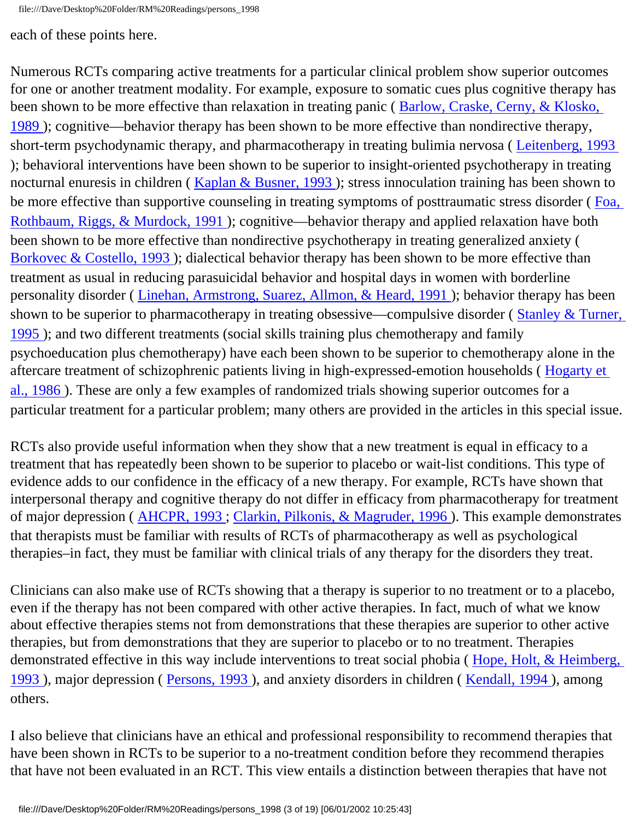file:///Dave/Desktop%20Folder/RM%20Readings/persons\_1998

each of these points here.

Numerous RCTs comparing active treatments for a particular clinical problem show superior outcomes for one or another treatment modality. For example, exposure to somatic cues plus cognitive therapy has been shown to be more effective than relaxation in treating panic ([Barlow, Craske, Cerny, & Klosko,](#page-15-1) [1989](#page-15-1) ); cognitive—behavior therapy has been shown to be more effective than nondirective therapy, short-term psychodynamic therapy, and pharmacotherapy in treating bulimia nervosa ( [Leitenberg, 1993](#page-17-1) ); behavioral interventions have been shown to be superior to insight-oriented psychotherapy in treating nocturnal enuresis in children (Kaplan & Busner, 1993); stress innoculation training has been shown to be more effective than supportive counseling in treating symptoms of posttraumatic stress disorder ([Foa,](#page-15-2) [Rothbaum, Riggs, & Murdock, 1991](#page-15-2) ); cognitive—behavior therapy and applied relaxation have both been shown to be more effective than nondirective psychotherapy in treating generalized anxiety ( Borkovec & Costello, 1993); dialectical behavior therapy has been shown to be more effective than treatment as usual in reducing parasuicidal behavior and hospital days in women with borderline personality disorder ( [Linehan, Armstrong, Suarez, Allmon, & Heard, 1991](#page-17-2) ); behavior therapy has been shown to be superior to pharmacotherapy in treating obsessive—compulsive disorder ([Stanley & Turner,](#page-18-0) [1995](#page-18-0)); and two different treatments (social skills training plus chemotherapy and family psychoeducation plus chemotherapy) have each been shown to be superior to chemotherapy alone in the aftercare treatment of schizophrenic patients living in high-expressed-emotion households ( [Hogarty et](#page-16-2)  [al., 1986](#page-16-2) ). These are only a few examples of randomized trials showing superior outcomes for a particular treatment for a particular problem; many others are provided in the articles in this special issue.

RCTs also provide useful information when they show that a new treatment is equal in efficacy to a treatment that has repeatedly been shown to be superior to placebo or wait-list conditions. This type of evidence adds to our confidence in the efficacy of a new therapy. For example, RCTs have shown that interpersonal therapy and cognitive therapy do not differ in efficacy from pharmacotherapy for treatment of major depression (AHCPR, 1993; Clarkin, Pilkonis, & Magruder, 1996). This example demonstrates that therapists must be familiar with results of RCTs of pharmacotherapy as well as psychological therapies–in fact, they must be familiar with clinical trials of any therapy for the disorders they treat.

Clinicians can also make use of RCTs showing that a therapy is superior to no treatment or to a placebo, even if the therapy has not been compared with other active therapies. In fact, much of what we know about effective therapies stems not from demonstrations that these therapies are superior to other active therapies, but from demonstrations that they are superior to placebo or to no treatment. Therapies demonstrated effective in this way include interventions to treat social phobia (Hope, Holt, & Heimberg, [1993](#page-16-3) ), major depression ( [Persons, 1993](#page-17-3) ), and anxiety disorders in children ( [Kendall, 1994](#page-16-4) ), among others.

I also believe that clinicians have an ethical and professional responsibility to recommend therapies that have been shown in RCTs to be superior to a no-treatment condition before they recommend therapies that have not been evaluated in an RCT. This view entails a distinction between therapies that have not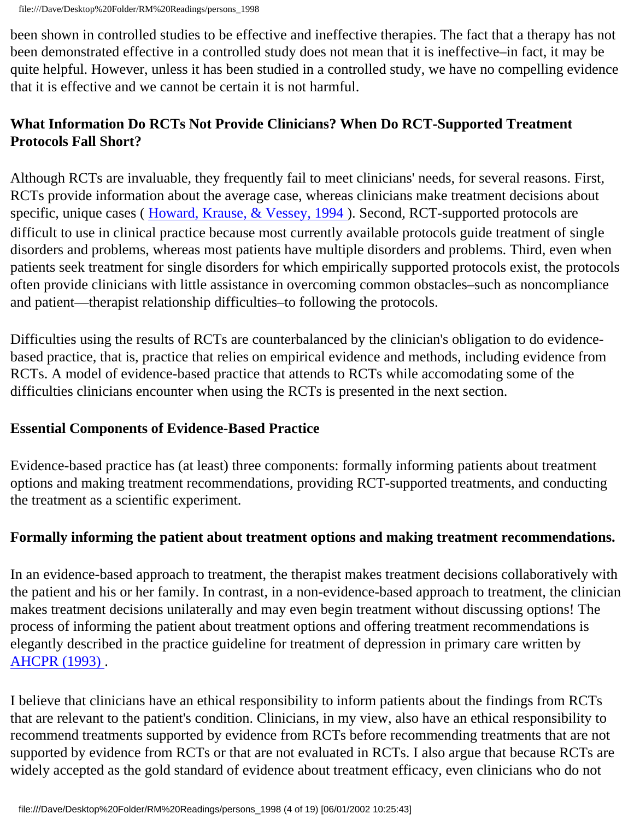been shown in controlled studies to be effective and ineffective therapies. The fact that a therapy has not been demonstrated effective in a controlled study does not mean that it is ineffective–in fact, it may be quite helpful. However, unless it has been studied in a controlled study, we have no compelling evidence that it is effective and we cannot be certain it is not harmful.

## **What Information Do RCTs Not Provide Clinicians? When Do RCT-Supported Treatment Protocols Fall Short?**

Although RCTs are invaluable, they frequently fail to meet clinicians' needs, for several reasons. First, RCTs provide information about the average case, whereas clinicians make treatment decisions about specific, unique cases (Howard, Krause, & Vessey, 1994). Second, RCT-supported protocols are difficult to use in clinical practice because most currently available protocols guide treatment of single disorders and problems, whereas most patients have multiple disorders and problems. Third, even when patients seek treatment for single disorders for which empirically supported protocols exist, the protocols often provide clinicians with little assistance in overcoming common obstacles–such as noncompliance and patient—therapist relationship difficulties–to following the protocols.

Difficulties using the results of RCTs are counterbalanced by the clinician's obligation to do evidencebased practice, that is, practice that relies on empirical evidence and methods, including evidence from RCTs. A model of evidence-based practice that attends to RCTs while accomodating some of the difficulties clinicians encounter when using the RCTs is presented in the next section.

### **Essential Components of Evidence-Based Practice**

Evidence-based practice has (at least) three components: formally informing patients about treatment options and making treatment recommendations, providing RCT-supported treatments, and conducting the treatment as a scientific experiment.

### **Formally informing the patient about treatment options and making treatment recommendations.**

In an evidence-based approach to treatment, the therapist makes treatment decisions collaboratively with the patient and his or her family. In contrast, in a non-evidence-based approach to treatment, the clinician makes treatment decisions unilaterally and may even begin treatment without discussing options! The process of informing the patient about treatment options and offering treatment recommendations is elegantly described in the practice guideline for treatment of depression in primary care written by [AHCPR \(1993\)](#page-14-0) .

I believe that clinicians have an ethical responsibility to inform patients about the findings from RCTs that are relevant to the patient's condition. Clinicians, in my view, also have an ethical responsibility to recommend treatments supported by evidence from RCTs before recommending treatments that are not supported by evidence from RCTs or that are not evaluated in RCTs. I also argue that because RCTs are widely accepted as the gold standard of evidence about treatment efficacy, even clinicians who do not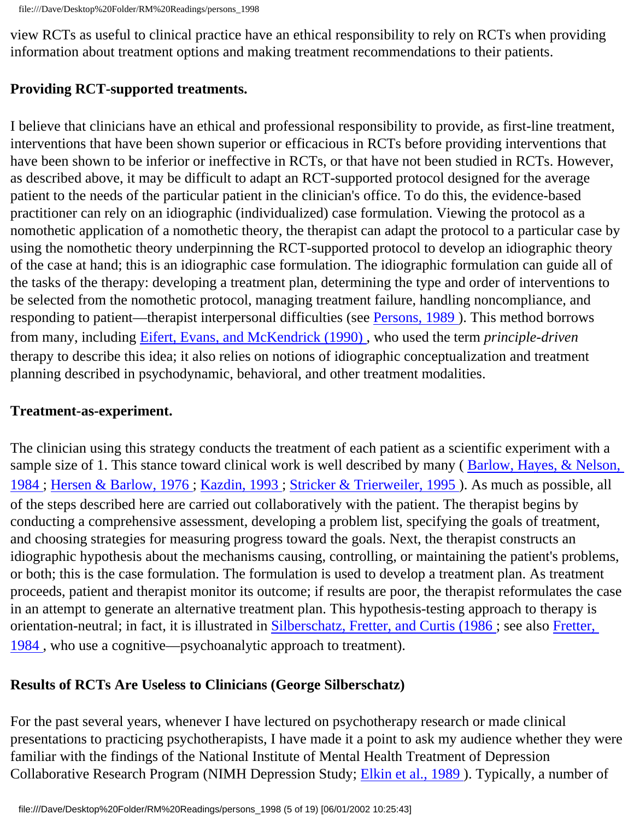view RCTs as useful to clinical practice have an ethical responsibility to rely on RCTs when providing information about treatment options and making treatment recommendations to their patients.

## **Providing RCT-supported treatments.**

I believe that clinicians have an ethical and professional responsibility to provide, as first-line treatment, interventions that have been shown superior or efficacious in RCTs before providing interventions that have been shown to be inferior or ineffective in RCTs, or that have not been studied in RCTs. However, as described above, it may be difficult to adapt an RCT-supported protocol designed for the average patient to the needs of the particular patient in the clinician's office. To do this, the evidence-based practitioner can rely on an idiographic (individualized) case formulation. Viewing the protocol as a nomothetic application of a nomothetic theory, the therapist can adapt the protocol to a particular case by using the nomothetic theory underpinning the RCT-supported protocol to develop an idiographic theory of the case at hand; this is an idiographic case formulation. The idiographic formulation can guide all of the tasks of the therapy: developing a treatment plan, determining the type and order of interventions to be selected from the nomothetic protocol, managing treatment failure, handling noncompliance, and responding to patient—therapist interpersonal difficulties (see [Persons, 1989](#page-17-4)). This method borrows from many, including [Eifert, Evans, and McKendrick \(1990\)](#page-15-5) , who used the term *principle-driven*  therapy to describe this idea; it also relies on notions of idiographic conceptualization and treatment planning described in psychodynamic, behavioral, and other treatment modalities.

### **Treatment-as-experiment.**

The clinician using this strategy conducts the treatment of each patient as a scientific experiment with a sample size of 1. This stance toward clinical work is well described by many ([Barlow, Hayes, & Nelson,](#page-15-6) [1984](#page-15-6) ; [Hersen & Barlow, 1976](#page-16-6) ; [Kazdin, 1993](#page-16-7) ; [Stricker & Trierweiler, 1995](#page-18-1) ). As much as possible, all of the steps described here are carried out collaboratively with the patient. The therapist begins by conducting a comprehensive assessment, developing a problem list, specifying the goals of treatment, and choosing strategies for measuring progress toward the goals. Next, the therapist constructs an idiographic hypothesis about the mechanisms causing, controlling, or maintaining the patient's problems, or both; this is the case formulation. The formulation is used to develop a treatment plan. As treatment proceeds, patient and therapist monitor its outcome; if results are poor, the therapist reformulates the case in an attempt to generate an alternative treatment plan. This hypothesis-testing approach to therapy is orientation-neutral; in fact, it is illustrated in [Silberschatz, Fretter, and Curtis \(1986](#page-18-2) ; see also [Fretter,](#page-16-8)  [1984](#page-16-8) , who use a cognitive—psychoanalytic approach to treatment).

## **Results of RCTs Are Useless to Clinicians (George Silberschatz)**

For the past several years, whenever I have lectured on psychotherapy research or made clinical presentations to practicing psychotherapists, I have made it a point to ask my audience whether they were familiar with the findings of the National Institute of Mental Health Treatment of Depression Collaborative Research Program (NIMH Depression Study; [Elkin et al., 1989](#page-15-7) ). Typically, a number of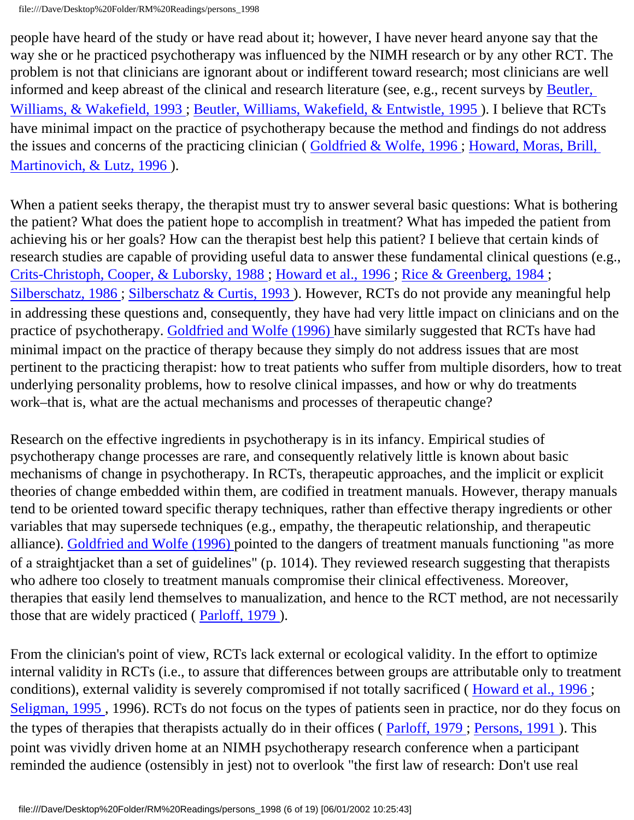people have heard of the study or have read about it; however, I have never heard anyone say that the way she or he practiced psychotherapy was influenced by the NIMH research or by any other RCT. The problem is not that clinicians are ignorant about or indifferent toward research; most clinicians are well informed and keep abreast of the clinical and research literature (see, e.g., recent surveys by [Beutler,](#page-15-8)  [Williams, & Wakefield, 1993](#page-15-8) ; [Beutler, Williams, Wakefield, & Entwistle, 1995](#page-15-9) ). I believe that RCTs have minimal impact on the practice of psychotherapy because the method and findings do not address the issues and concerns of the practicing clinician ( [Goldfried & Wolfe, 1996](#page-16-9) ; [Howard, Moras, Brill,](#page-16-10)  [Martinovich, & Lutz, 1996](#page-16-10)).

When a patient seeks therapy, the therapist must try to answer several basic questions: What is bothering the patient? What does the patient hope to accomplish in treatment? What has impeded the patient from achieving his or her goals? How can the therapist best help this patient? I believe that certain kinds of research studies are capable of providing useful data to answer these fundamental clinical questions (e.g., [Crits-Christoph, Cooper, & Luborsky, 1988](#page-15-10) ; [Howard et al., 1996](#page-16-10) ; [Rice & Greenberg, 1984](#page-17-5) ; [Silberschatz, 1986](#page-17-6); Silberschatz & Curtis, 1993). However, RCTs do not provide any meaningful help in addressing these questions and, consequently, they have had very little impact on clinicians and on the practice of psychotherapy. [Goldfried and Wolfe \(1996\)](#page-16-9) have similarly suggested that RCTs have had minimal impact on the practice of therapy because they simply do not address issues that are most pertinent to the practicing therapist: how to treat patients who suffer from multiple disorders, how to treat underlying personality problems, how to resolve clinical impasses, and how or why do treatments work–that is, what are the actual mechanisms and processes of therapeutic change?

Research on the effective ingredients in psychotherapy is in its infancy. Empirical studies of psychotherapy change processes are rare, and consequently relatively little is known about basic mechanisms of change in psychotherapy. In RCTs, therapeutic approaches, and the implicit or explicit theories of change embedded within them, are codified in treatment manuals. However, therapy manuals tend to be oriented toward specific therapy techniques, rather than effective therapy ingredients or other variables that may supersede techniques (e.g., empathy, the therapeutic relationship, and therapeutic alliance). [Goldfried and Wolfe \(1996\)](#page-16-9) pointed to the dangers of treatment manuals functioning "as more of a straightjacket than a set of guidelines" (p. 1014). They reviewed research suggesting that therapists who adhere too closely to treatment manuals compromise their clinical effectiveness. Moreover, therapies that easily lend themselves to manualization, and hence to the RCT method, are not necessarily those that are widely practiced ( [Parloff, 1979](#page-17-7) ).

From the clinician's point of view, RCTs lack external or ecological validity. In the effort to optimize internal validity in RCTs (i.e., to assure that differences between groups are attributable only to treatment conditions), external validity is severely compromised if not totally sacrificed ( [Howard et al., 1996](#page-16-10) ; Seligman, 1995, 1996). RCTs do not focus on the types of patients seen in practice, nor do they focus on the types of therapies that therapists actually do in their offices ( [Parloff, 1979](#page-17-7) ; [Persons, 1991](#page-17-9) ). This point was vividly driven home at an NIMH psychotherapy research conference when a participant reminded the audience (ostensibly in jest) not to overlook "the first law of research: Don't use real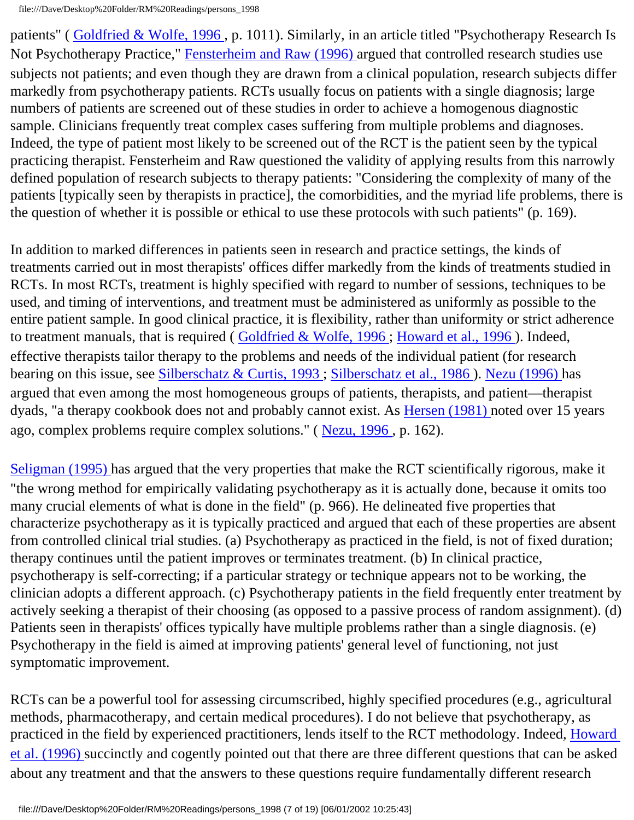patients" ([Goldfried & Wolfe, 1996](#page-16-9), p. 1011). Similarly, in an article titled "Psychotherapy Research Is Not Psychotherapy Practice," [Fensterheim and Raw \(1996\)](#page-15-11) argued that controlled research studies use subjects not patients; and even though they are drawn from a clinical population, research subjects differ markedly from psychotherapy patients. RCTs usually focus on patients with a single diagnosis; large numbers of patients are screened out of these studies in order to achieve a homogenous diagnostic sample. Clinicians frequently treat complex cases suffering from multiple problems and diagnoses. Indeed, the type of patient most likely to be screened out of the RCT is the patient seen by the typical practicing therapist. Fensterheim and Raw questioned the validity of applying results from this narrowly defined population of research subjects to therapy patients: "Considering the complexity of many of the patients [typically seen by therapists in practice], the comorbidities, and the myriad life problems, there is the question of whether it is possible or ethical to use these protocols with such patients" (p. 169).

In addition to marked differences in patients seen in research and practice settings, the kinds of treatments carried out in most therapists' offices differ markedly from the kinds of treatments studied in RCTs. In most RCTs, treatment is highly specified with regard to number of sessions, techniques to be used, and timing of interventions, and treatment must be administered as uniformly as possible to the entire patient sample. In good clinical practice, it is flexibility, rather than uniformity or strict adherence to treatment manuals, that is required (Goldfried & Wolfe, 1996; [Howard et al., 1996](#page-16-10)). Indeed, effective therapists tailor therapy to the problems and needs of the individual patient (for research bearing on this issue, see Silberschatz & Curtis, 1993; Silberschatz et al., 1986). [Nezu \(1996\)](#page-17-10) has argued that even among the most homogeneous groups of patients, therapists, and patient—therapist dyads, "a therapy cookbook does not and probably cannot exist. As [Hersen \(1981\)](#page-16-11) noted over 15 years ago, complex problems require complex solutions." ( [Nezu, 1996](#page-17-10) , p. 162).

[Seligman \(1995\)](#page-17-8) has argued that the very properties that make the RCT scientifically rigorous, make it "the wrong method for empirically validating psychotherapy as it is actually done, because it omits too many crucial elements of what is done in the field" (p. 966). He delineated five properties that characterize psychotherapy as it is typically practiced and argued that each of these properties are absent from controlled clinical trial studies. (a) Psychotherapy as practiced in the field, is not of fixed duration; therapy continues until the patient improves or terminates treatment. (b) In clinical practice, psychotherapy is self-correcting; if a particular strategy or technique appears not to be working, the clinician adopts a different approach. (c) Psychotherapy patients in the field frequently enter treatment by actively seeking a therapist of their choosing (as opposed to a passive process of random assignment). (d) Patients seen in therapists' offices typically have multiple problems rather than a single diagnosis. (e) Psychotherapy in the field is aimed at improving patients' general level of functioning, not just symptomatic improvement.

RCTs can be a powerful tool for assessing circumscribed, highly specified procedures (e.g., agricultural methods, pharmacotherapy, and certain medical procedures). I do not believe that psychotherapy, as practiced in the field by experienced practitioners, lends itself to the RCT methodology. Indeed, [Howard](#page-16-10)  [et al. \(1996\)](#page-16-10) succinctly and cogently pointed out that there are three different questions that can be asked about any treatment and that the answers to these questions require fundamentally different research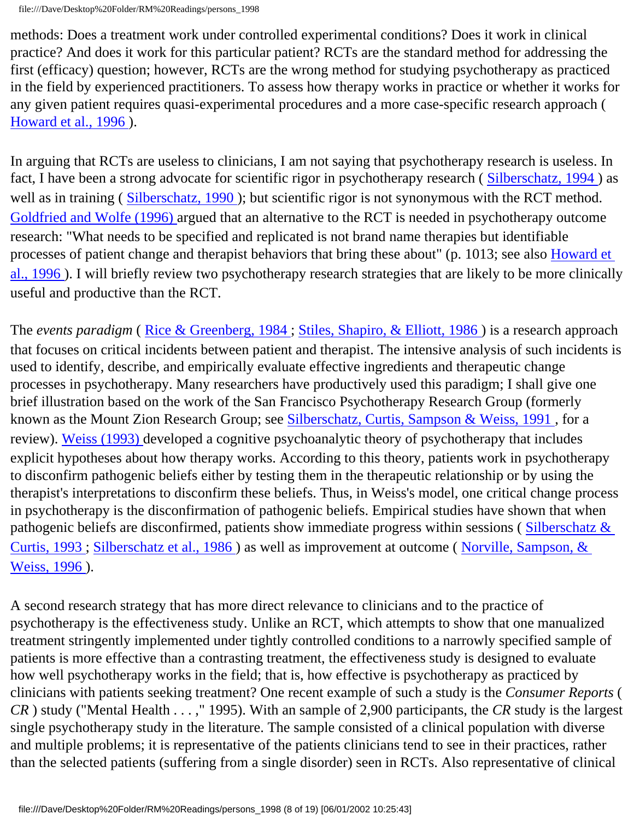methods: Does a treatment work under controlled experimental conditions? Does it work in clinical practice? And does it work for this particular patient? RCTs are the standard method for addressing the first (efficacy) question; however, RCTs are the wrong method for studying psychotherapy as practiced in the field by experienced practitioners. To assess how therapy works in practice or whether it works for any given patient requires quasi-experimental procedures and a more case-specific research approach ( [Howard et al., 1996](#page-16-10) ).

In arguing that RCTs are useless to clinicians, I am not saying that psychotherapy research is useless. In fact, I have been a strong advocate for scientific rigor in psychotherapy research ([Silberschatz, 1994](#page-18-4)) as well as in training (Silberschatz, 1990); but scientific rigor is not synonymous with the RCT method. [Goldfried and Wolfe \(1996\)](#page-16-9) argued that an alternative to the RCT is needed in psychotherapy outcome research: "What needs to be specified and replicated is not brand name therapies but identifiable processes of patient change and therapist behaviors that bring these about" (p. 1013; see also [Howard et](#page-16-10)  [al., 1996](#page-16-10) ). I will briefly review two psychotherapy research strategies that are likely to be more clinically useful and productive than the RCT.

The *events paradigm* ([Rice & Greenberg, 1984](#page-17-5); [Stiles, Shapiro, & Elliott, 1986](#page-18-5)) is a research approach that focuses on critical incidents between patient and therapist. The intensive analysis of such incidents is used to identify, describe, and empirically evaluate effective ingredients and therapeutic change processes in psychotherapy. Many researchers have productively used this paradigm; I shall give one brief illustration based on the work of the San Francisco Psychotherapy Research Group (formerly known as the Mount Zion Research Group; see Silberschatz, Curtis, Sampson & Weiss, 1991, for a review). [Weiss \(1993\)](#page-18-7) developed a cognitive psychoanalytic theory of psychotherapy that includes explicit hypotheses about how therapy works. According to this theory, patients work in psychotherapy to disconfirm pathogenic beliefs either by testing them in the therapeutic relationship or by using the therapist's interpretations to disconfirm these beliefs. Thus, in Weiss's model, one critical change process in psychotherapy is the disconfirmation of pathogenic beliefs. Empirical studies have shown that when pathogenic beliefs are disconfirmed, patients show immediate progress within sessions (Silberschatz & [Curtis, 1993](#page-18-3) ; [Silberschatz et al., 1986](#page-18-2) ) as well as improvement at outcome ( [Norville, Sampson, &](#page-17-12) [Weiss, 1996](#page-17-12) ).

A second research strategy that has more direct relevance to clinicians and to the practice of psychotherapy is the effectiveness study. Unlike an RCT, which attempts to show that one manualized treatment stringently implemented under tightly controlled conditions to a narrowly specified sample of patients is more effective than a contrasting treatment, the effectiveness study is designed to evaluate how well psychotherapy works in the field; that is, how effective is psychotherapy as practiced by clinicians with patients seeking treatment? One recent example of such a study is the *Consumer Reports* ( *CR* ) study ("Mental Health . . . ," 1995). With an sample of 2,900 participants, the *CR* study is the largest single psychotherapy study in the literature. The sample consisted of a clinical population with diverse and multiple problems; it is representative of the patients clinicians tend to see in their practices, rather than the selected patients (suffering from a single disorder) seen in RCTs. Also representative of clinical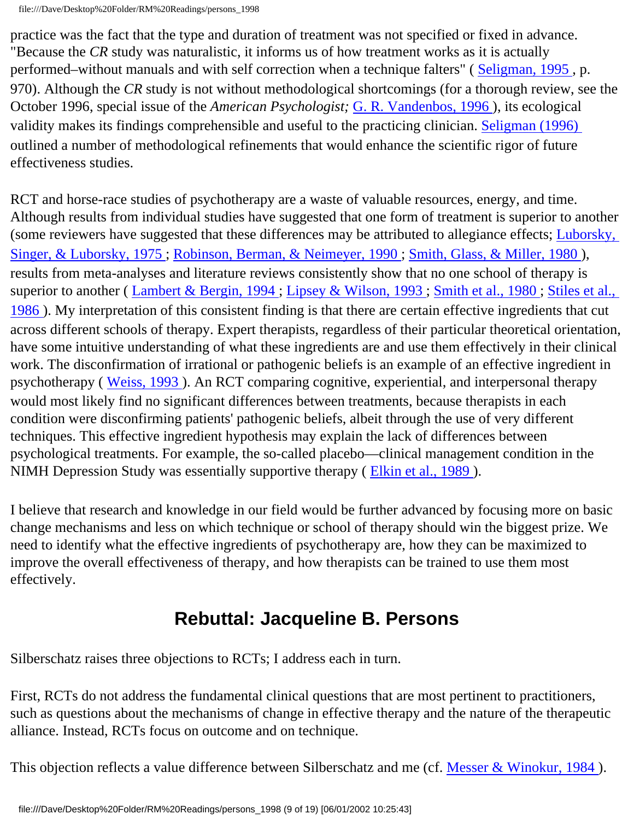practice was the fact that the type and duration of treatment was not specified or fixed in advance. "Because the *CR* study was naturalistic, it informs us of how treatment works as it is actually performed–without manuals and with self correction when a technique falters" ( [Seligman, 1995](#page-17-8) , p. 970). Although the *CR* study is not without methodological shortcomings (for a thorough review, see the October 1996, special issue of the *American Psychologist;* [G. R. Vandenbos, 1996](#page-18-8) ), its ecological validity makes its findings comprehensible and useful to the practicing clinician. [Seligman \(1996\)](#page-17-13)  outlined a number of methodological refinements that would enhance the scientific rigor of future effectiveness studies.

RCT and horse-race studies of psychotherapy are a waste of valuable resources, energy, and time. Although results from individual studies have suggested that one form of treatment is superior to another (some reviewers have suggested that these differences may be attributed to allegiance effects; [Luborsky,](#page-17-14)  [Singer, & Luborsky, 1975](#page-17-14) ; [Robinson, Berman, & Neimeyer, 1990](#page-17-15) ; [Smith, Glass, & Miller, 1980](#page-18-9) ), results from meta-analyses and literature reviews consistently show that no one school of therapy is superior to another (Lambert & Bergin, 1994; [Lipsey & Wilson, 1993](#page-17-17); [Smith et al., 1980](#page-18-9); [Stiles et al.,](#page-18-5) [1986](#page-18-5) ). My interpretation of this consistent finding is that there are certain effective ingredients that cut across different schools of therapy. Expert therapists, regardless of their particular theoretical orientation, have some intuitive understanding of what these ingredients are and use them effectively in their clinical work. The disconfirmation of irrational or pathogenic beliefs is an example of an effective ingredient in psychotherapy ( [Weiss, 1993](#page-18-7) ). An RCT comparing cognitive, experiential, and interpersonal therapy would most likely find no significant differences between treatments, because therapists in each condition were disconfirming patients' pathogenic beliefs, albeit through the use of very different techniques. This effective ingredient hypothesis may explain the lack of differences between psychological treatments. For example, the so-called placebo—clinical management condition in the NIMH Depression Study was essentially supportive therapy (Elkin et al., 1989).

I believe that research and knowledge in our field would be further advanced by focusing more on basic change mechanisms and less on which technique or school of therapy should win the biggest prize. We need to identify what the effective ingredients of psychotherapy are, how they can be maximized to improve the overall effectiveness of therapy, and how therapists can be trained to use them most effectively.

# **Rebuttal: Jacqueline B. Persons**

Silberschatz raises three objections to RCTs; I address each in turn.

First, RCTs do not address the fundamental clinical questions that are most pertinent to practitioners, such as questions about the mechanisms of change in effective therapy and the nature of the therapeutic alliance. Instead, RCTs focus on outcome and on technique.

This objection reflects a value difference between Silberschatz and me (cf. Messer & Winokur, 1984).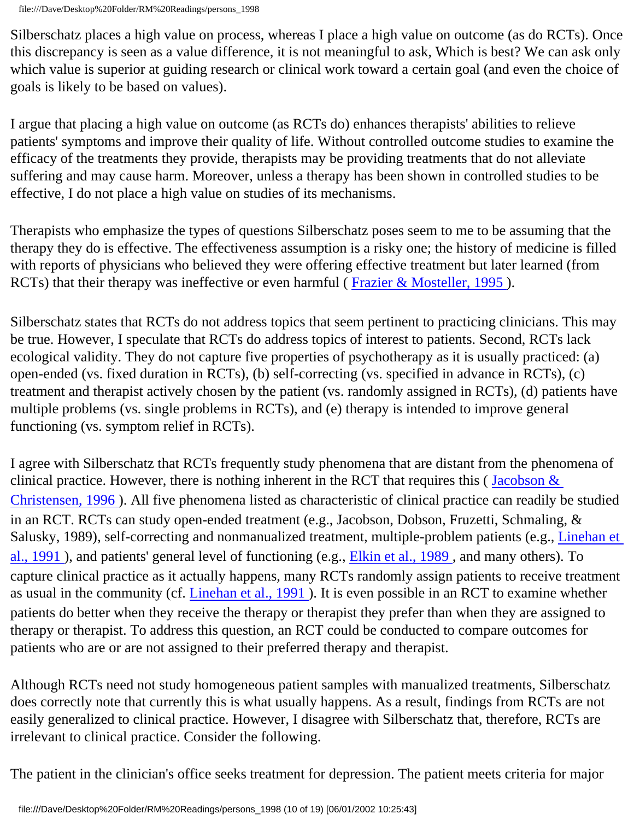Silberschatz places a high value on process, whereas I place a high value on outcome (as do RCTs). Once this discrepancy is seen as a value difference, it is not meaningful to ask, Which is best? We can ask only which value is superior at guiding research or clinical work toward a certain goal (and even the choice of goals is likely to be based on values).

I argue that placing a high value on outcome (as RCTs do) enhances therapists' abilities to relieve patients' symptoms and improve their quality of life. Without controlled outcome studies to examine the efficacy of the treatments they provide, therapists may be providing treatments that do not alleviate suffering and may cause harm. Moreover, unless a therapy has been shown in controlled studies to be effective, I do not place a high value on studies of its mechanisms.

Therapists who emphasize the types of questions Silberschatz poses seem to me to be assuming that the therapy they do is effective. The effectiveness assumption is a risky one; the history of medicine is filled with reports of physicians who believed they were offering effective treatment but later learned (from RCTs) that their therapy was ineffective or even harmful (Frazier & Mosteller, 1995).

Silberschatz states that RCTs do not address topics that seem pertinent to practicing clinicians. This may be true. However, I speculate that RCTs do address topics of interest to patients. Second, RCTs lack ecological validity. They do not capture five properties of psychotherapy as it is usually practiced: (a) open-ended (vs. fixed duration in RCTs), (b) self-correcting (vs. specified in advance in RCTs), (c) treatment and therapist actively chosen by the patient (vs. randomly assigned in RCTs), (d) patients have multiple problems (vs. single problems in RCTs), and (e) therapy is intended to improve general functioning (vs. symptom relief in RCTs).

I agree with Silberschatz that RCTs frequently study phenomena that are distant from the phenomena of clinical practice. However, there is nothing inherent in the RCT that requires this ( $Jacobson &$ [Christensen, 1996](#page-16-13) ). All five phenomena listed as characteristic of clinical practice can readily be studied in an RCT. RCTs can study open-ended treatment (e.g., Jacobson, Dobson, Fruzetti, Schmaling, & Salusky, 1989), self-correcting and nonmanualized treatment, multiple-problem patients (e.g., Linehan et al., 1991), and patients' general level of functioning (e.g., *Elkin et al., 1989*, and many others). To capture clinical practice as it actually happens, many RCTs randomly assign patients to receive treatment as usual in the community (cf. Linehan et al., 1991). It is even possible in an RCT to examine whether patients do better when they receive the therapy or therapist they prefer than when they are assigned to therapy or therapist. To address this question, an RCT could be conducted to compare outcomes for patients who are or are not assigned to their preferred therapy and therapist.

Although RCTs need not study homogeneous patient samples with manualized treatments, Silberschatz does correctly note that currently this is what usually happens. As a result, findings from RCTs are not easily generalized to clinical practice. However, I disagree with Silberschatz that, therefore, RCTs are irrelevant to clinical practice. Consider the following.

The patient in the clinician's office seeks treatment for depression. The patient meets criteria for major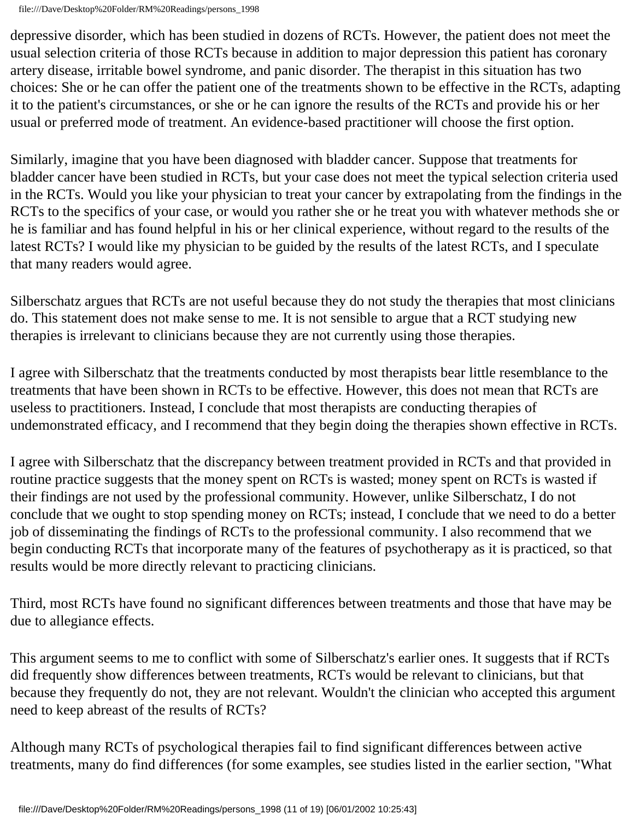depressive disorder, which has been studied in dozens of RCTs. However, the patient does not meet the usual selection criteria of those RCTs because in addition to major depression this patient has coronary artery disease, irritable bowel syndrome, and panic disorder. The therapist in this situation has two choices: She or he can offer the patient one of the treatments shown to be effective in the RCTs, adapting it to the patient's circumstances, or she or he can ignore the results of the RCTs and provide his or her usual or preferred mode of treatment. An evidence-based practitioner will choose the first option.

Similarly, imagine that you have been diagnosed with bladder cancer. Suppose that treatments for bladder cancer have been studied in RCTs, but your case does not meet the typical selection criteria used in the RCTs. Would you like your physician to treat your cancer by extrapolating from the findings in the RCTs to the specifics of your case, or would you rather she or he treat you with whatever methods she or he is familiar and has found helpful in his or her clinical experience, without regard to the results of the latest RCTs? I would like my physician to be guided by the results of the latest RCTs, and I speculate that many readers would agree.

Silberschatz argues that RCTs are not useful because they do not study the therapies that most clinicians do. This statement does not make sense to me. It is not sensible to argue that a RCT studying new therapies is irrelevant to clinicians because they are not currently using those therapies.

I agree with Silberschatz that the treatments conducted by most therapists bear little resemblance to the treatments that have been shown in RCTs to be effective. However, this does not mean that RCTs are useless to practitioners. Instead, I conclude that most therapists are conducting therapies of undemonstrated efficacy, and I recommend that they begin doing the therapies shown effective in RCTs.

I agree with Silberschatz that the discrepancy between treatment provided in RCTs and that provided in routine practice suggests that the money spent on RCTs is wasted; money spent on RCTs is wasted if their findings are not used by the professional community. However, unlike Silberschatz, I do not conclude that we ought to stop spending money on RCTs; instead, I conclude that we need to do a better job of disseminating the findings of RCTs to the professional community. I also recommend that we begin conducting RCTs that incorporate many of the features of psychotherapy as it is practiced, so that results would be more directly relevant to practicing clinicians.

Third, most RCTs have found no significant differences between treatments and those that have may be due to allegiance effects.

This argument seems to me to conflict with some of Silberschatz's earlier ones. It suggests that if RCTs did frequently show differences between treatments, RCTs would be relevant to clinicians, but that because they frequently do not, they are not relevant. Wouldn't the clinician who accepted this argument need to keep abreast of the results of RCTs?

Although many RCTs of psychological therapies fail to find significant differences between active treatments, many do find differences (for some examples, see studies listed in the earlier section, "What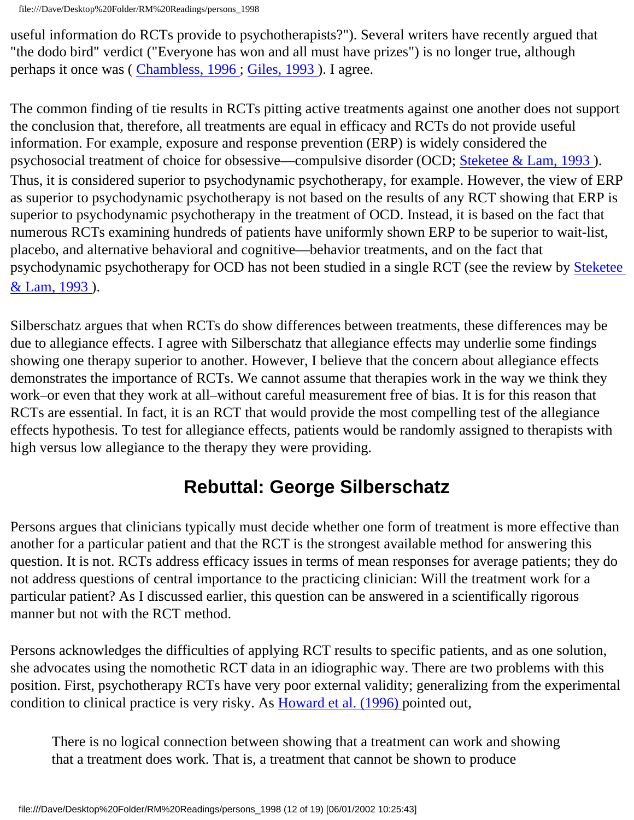```
file:///Dave/Desktop%20Folder/RM%20Readings/persons_1998
```
useful information do RCTs provide to psychotherapists?"). Several writers have recently argued that "the dodo bird" verdict ("Everyone has won and all must have prizes") is no longer true, although perhaps it once was ( [Chambless, 1996](#page-15-12) ; [Giles, 1993](#page-16-14) ). I agree.

The common finding of tie results in RCTs pitting active treatments against one another does not support the conclusion that, therefore, all treatments are equal in efficacy and RCTs do not provide useful information. For example, exposure and response prevention (ERP) is widely considered the psychosocial treatment of choice for obsessive—compulsive disorder (OCD; [Steketee & Lam, 1993](#page-18-10) ). Thus, it is considered superior to psychodynamic psychotherapy, for example. However, the view of ERP as superior to psychodynamic psychotherapy is not based on the results of any RCT showing that ERP is superior to psychodynamic psychotherapy in the treatment of OCD. Instead, it is based on the fact that numerous RCTs examining hundreds of patients have uniformly shown ERP to be superior to wait-list, placebo, and alternative behavioral and cognitive—behavior treatments, and on the fact that psychodynamic psychotherapy for OCD has not been studied in a single RCT (see the review by [Steketee](#page-18-10)  [& Lam, 1993](#page-18-10) ).

Silberschatz argues that when RCTs do show differences between treatments, these differences may be due to allegiance effects. I agree with Silberschatz that allegiance effects may underlie some findings showing one therapy superior to another. However, I believe that the concern about allegiance effects demonstrates the importance of RCTs. We cannot assume that therapies work in the way we think they work–or even that they work at all–without careful measurement free of bias. It is for this reason that RCTs are essential. In fact, it is an RCT that would provide the most compelling test of the allegiance effects hypothesis. To test for allegiance effects, patients would be randomly assigned to therapists with high versus low allegiance to the therapy they were providing.

## **Rebuttal: George Silberschatz**

Persons argues that clinicians typically must decide whether one form of treatment is more effective than another for a particular patient and that the RCT is the strongest available method for answering this question. It is not. RCTs address efficacy issues in terms of mean responses for average patients; they do not address questions of central importance to the practicing clinician: Will the treatment work for a particular patient? As I discussed earlier, this question can be answered in a scientifically rigorous manner but not with the RCT method.

Persons acknowledges the difficulties of applying RCT results to specific patients, and as one solution, she advocates using the nomothetic RCT data in an idiographic way. There are two problems with this position. First, psychotherapy RCTs have very poor external validity; generalizing from the experimental condition to clinical practice is very risky. As **Howard et al.** (1996) pointed out,

There is no logical connection between showing that a treatment can work and showing that a treatment does work. That is, a treatment that cannot be shown to produce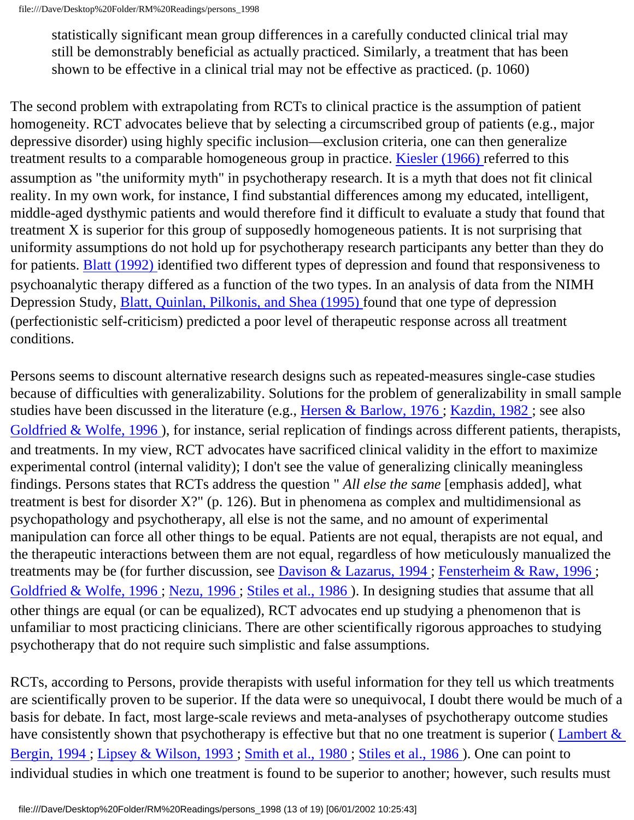```
file:///Dave/Desktop%20Folder/RM%20Readings/persons_1998
```
statistically significant mean group differences in a carefully conducted clinical trial may still be demonstrably beneficial as actually practiced. Similarly, a treatment that has been shown to be effective in a clinical trial may not be effective as practiced. (p. 1060)

The second problem with extrapolating from RCTs to clinical practice is the assumption of patient homogeneity. RCT advocates believe that by selecting a circumscribed group of patients (e.g., major depressive disorder) using highly specific inclusion—exclusion criteria, one can then generalize treatment results to a comparable homogeneous group in practice. [Kiesler \(1966\)](#page-16-15) referred to this assumption as "the uniformity myth" in psychotherapy research. It is a myth that does not fit clinical reality. In my own work, for instance, I find substantial differences among my educated, intelligent, middle-aged dysthymic patients and would therefore find it difficult to evaluate a study that found that treatment X is superior for this group of supposedly homogeneous patients. It is not surprising that uniformity assumptions do not hold up for psychotherapy research participants any better than they do for patients. [Blatt \(1992\)](#page-15-13) identified two different types of depression and found that responsiveness to psychoanalytic therapy differed as a function of the two types. In an analysis of data from the NIMH Depression Study, [Blatt, Quinlan, Pilkonis, and Shea \(1995\)](#page-15-14) found that one type of depression (perfectionistic self-criticism) predicted a poor level of therapeutic response across all treatment conditions.

Persons seems to discount alternative research designs such as repeated-measures single-case studies because of difficulties with generalizability. Solutions for the problem of generalizability in small sample studies have been discussed in the literature (e.g., [Hersen & Barlow, 1976](#page-16-6); [Kazdin, 1982](#page-16-16); see also [Goldfried & Wolfe, 1996](#page-16-9)), for instance, serial replication of findings across different patients, therapists, and treatments. In my view, RCT advocates have sacrificed clinical validity in the effort to maximize experimental control (internal validity); I don't see the value of generalizing clinically meaningless findings. Persons states that RCTs address the question " *All else the same* [emphasis added], what treatment is best for disorder  $X$ ?" (p. 126). But in phenomena as complex and multidimensional as psychopathology and psychotherapy, all else is not the same, and no amount of experimental manipulation can force all other things to be equal. Patients are not equal, therapists are not equal, and the therapeutic interactions between them are not equal, regardless of how meticulously manualized the treatments may be (for further discussion, see Davison & Lazarus, 1994; [Fensterheim & Raw, 1996](#page-15-11); [Goldfried & Wolfe, 1996](#page-16-9); Nezu, 1996; [Stiles et al., 1986](#page-18-5)). In designing studies that assume that all other things are equal (or can be equalized), RCT advocates end up studying a phenomenon that is unfamiliar to most practicing clinicians. There are other scientifically rigorous approaches to studying psychotherapy that do not require such simplistic and false assumptions.

RCTs, according to Persons, provide therapists with useful information for they tell us which treatments are scientifically proven to be superior. If the data were so unequivocal, I doubt there would be much of a basis for debate. In fact, most large-scale reviews and meta-analyses of psychotherapy outcome studies have consistently shown that psychotherapy is effective but that no one treatment is superior (Lambert  $\&$ [Bergin, 1994](#page-17-16); [Lipsey & Wilson, 1993](#page-17-17); Smith et al., 1980; [Stiles et al., 1986](#page-18-5)). One can point to individual studies in which one treatment is found to be superior to another; however, such results must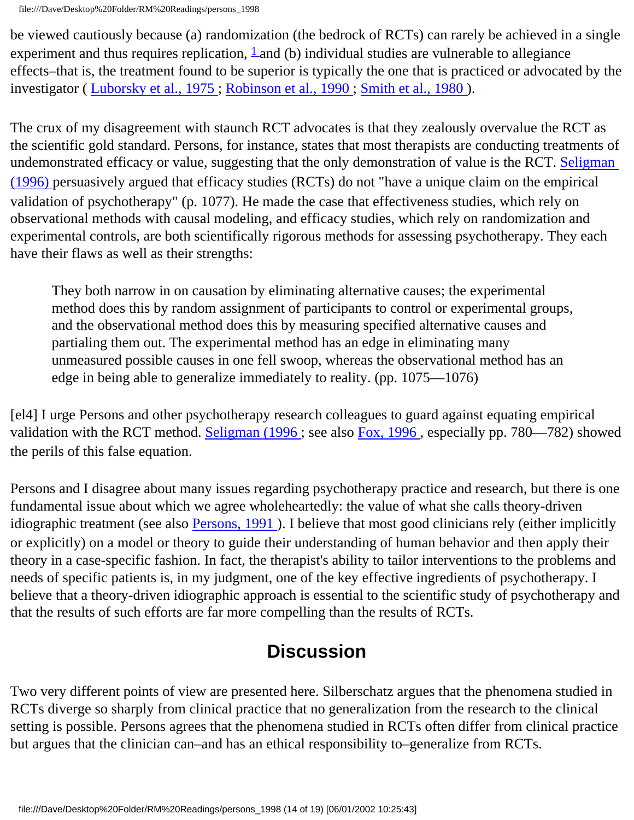```
file:///Dave/Desktop%20Folder/RM%20Readings/persons_1998
```
be viewed cautiously because (a) randomization (the bedrock of RCTs) can rarely be achieved in a single experiment and thus requires replication,  $\frac{1}{2}$  $\frac{1}{2}$  $\frac{1}{2}$  and (b) individual studies are vulnerable to allegiance effects–that is, the treatment found to be superior is typically the one that is practiced or advocated by the investigator ( [Luborsky et al., 1975](#page-17-14) ; [Robinson et al., 1990](#page-17-15) ; [Smith et al., 1980](#page-18-9) ).

The crux of my disagreement with staunch RCT advocates is that they zealously overvalue the RCT as the scientific gold standard. Persons, for instance, states that most therapists are conducting treatments of undemonstrated efficacy or value, suggesting that the only demonstration of value is the RCT. [Seligman](#page-17-13) [\(1996\)](#page-17-13) persuasively argued that efficacy studies (RCTs) do not "have a unique claim on the empirical validation of psychotherapy" (p. 1077). He made the case that effectiveness studies, which rely on observational methods with causal modeling, and efficacy studies, which rely on randomization and experimental controls, are both scientifically rigorous methods for assessing psychotherapy. They each have their flaws as well as their strengths:

They both narrow in on causation by eliminating alternative causes; the experimental method does this by random assignment of participants to control or experimental groups, and the observational method does this by measuring specified alternative causes and partialing them out. The experimental method has an edge in eliminating many unmeasured possible causes in one fell swoop, whereas the observational method has an edge in being able to generalize immediately to reality. (pp. 1075—1076)

[el4] I urge Persons and other psychotherapy research colleagues to guard against equating empirical validation with the RCT method. [Seligman \(1996](#page-17-13) ; see also [Fox, 1996](#page-16-17) , especially pp. 780—782) showed the perils of this false equation.

Persons and I disagree about many issues regarding psychotherapy practice and research, but there is one fundamental issue about which we agree wholeheartedly: the value of what she calls theory-driven idiographic treatment (see also [Persons, 1991](#page-17-9)). I believe that most good clinicians rely (either implicitly or explicitly) on a model or theory to guide their understanding of human behavior and then apply their theory in a case-specific fashion. In fact, the therapist's ability to tailor interventions to the problems and needs of specific patients is, in my judgment, one of the key effective ingredients of psychotherapy. I believe that a theory-driven idiographic approach is essential to the scientific study of psychotherapy and that the results of such efforts are far more compelling than the results of RCTs.

# **Discussion**

Two very different points of view are presented here. Silberschatz argues that the phenomena studied in RCTs diverge so sharply from clinical practice that no generalization from the research to the clinical setting is possible. Persons agrees that the phenomena studied in RCTs often differ from clinical practice but argues that the clinician can–and has an ethical responsibility to–generalize from RCTs.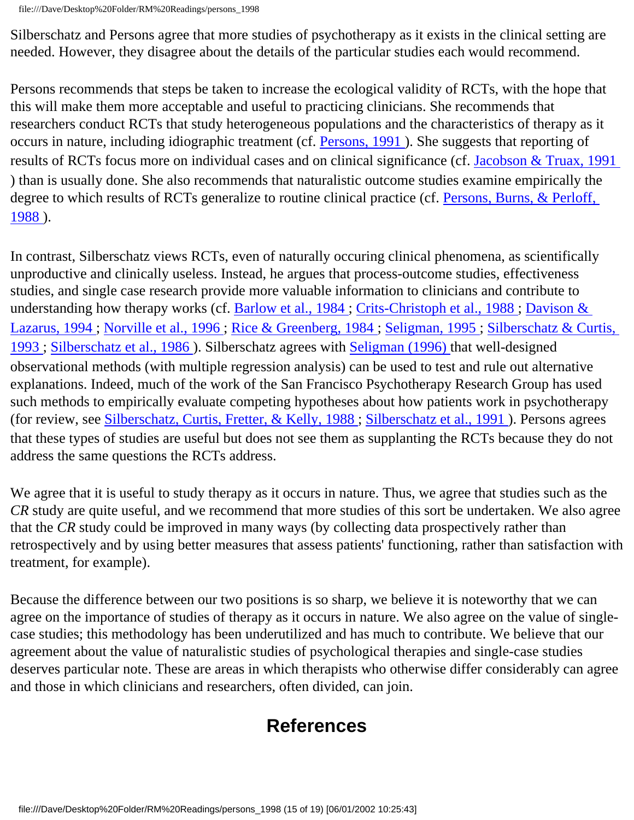file:///Dave/Desktop%20Folder/RM%20Readings/persons\_1998

Silberschatz and Persons agree that more studies of psychotherapy as it exists in the clinical setting are needed. However, they disagree about the details of the particular studies each would recommend.

Persons recommends that steps be taken to increase the ecological validity of RCTs, with the hope that this will make them more acceptable and useful to practicing clinicians. She recommends that researchers conduct RCTs that study heterogeneous populations and the characteristics of therapy as it occurs in nature, including idiographic treatment (cf. [Persons, 1991](#page-17-9) ). She suggests that reporting of results of RCTs focus more on individual cases and on clinical significance (cf. [Jacobson & Truax, 1991](#page-16-18)  ) than is usually done. She also recommends that naturalistic outcome studies examine empirically the degree to which results of RCTs generalize to routine clinical practice (cf. Persons, Burns, & Perloff, [1988](#page-17-19) ).

In contrast, Silberschatz views RCTs, even of naturally occuring clinical phenomena, as scientifically unproductive and clinically useless. Instead, he argues that process-outcome studies, effectiveness studies, and single case research provide more valuable information to clinicians and contribute to understanding how therapy works (cf. [Barlow et al., 1984](#page-15-6); Crits-Christoph et al., 1988; Davison & [Lazarus, 1994](#page-15-15) ; [Norville et al., 1996](#page-17-12) ; [Rice & Greenberg, 1984](#page-17-5) ; [Seligman, 1995](#page-17-8) ; [Silberschatz & Curtis,](#page-18-3)  [1993](#page-18-3) ; [Silberschatz et al., 1986](#page-18-2) ). Silberschatz agrees with [Seligman \(1996\)](#page-17-13) that well-designed observational methods (with multiple regression analysis) can be used to test and rule out alternative explanations. Indeed, much of the work of the San Francisco Psychotherapy Research Group has used such methods to empirically evaluate competing hypotheses about how patients work in psychotherapy (for review, see [Silberschatz, Curtis, Fretter, & Kelly, 1988](#page-18-12); [Silberschatz et al., 1991](#page-18-6)). Persons agrees that these types of studies are useful but does not see them as supplanting the RCTs because they do not address the same questions the RCTs address.

We agree that it is useful to study therapy as it occurs in nature. Thus, we agree that studies such as the *CR* study are quite useful, and we recommend that more studies of this sort be undertaken. We also agree that the *CR* study could be improved in many ways (by collecting data prospectively rather than retrospectively and by using better measures that assess patients' functioning, rather than satisfaction with treatment, for example).

<span id="page-14-0"></span>Because the difference between our two positions is so sharp, we believe it is noteworthy that we can agree on the importance of studies of therapy as it occurs in nature. We also agree on the value of singlecase studies; this methodology has been underutilized and has much to contribute. We believe that our agreement about the value of naturalistic studies of psychological therapies and single-case studies deserves particular note. These are areas in which therapists who otherwise differ considerably can agree and those in which clinicians and researchers, often divided, can join.

# **References**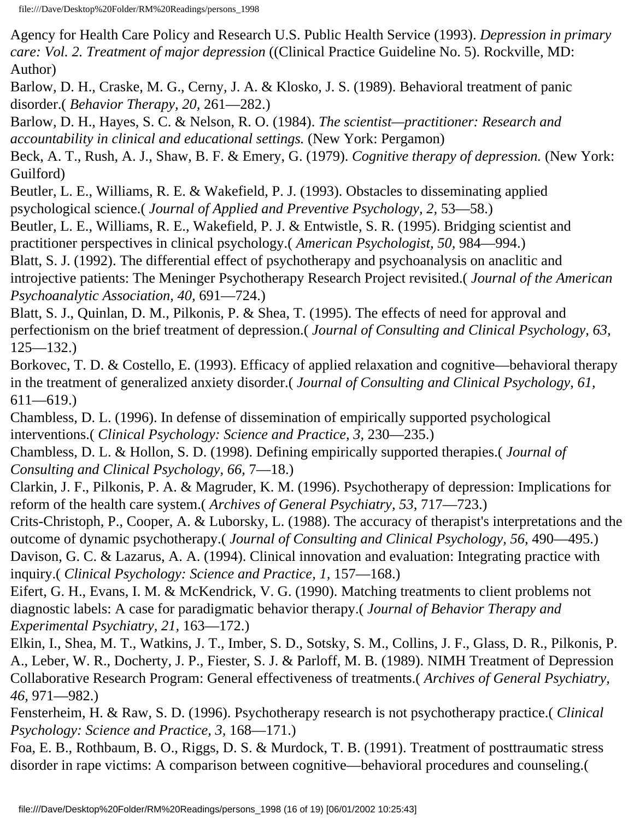Agency for Health Care Policy and Research U.S. Public Health Service (1993). *Depression in primary care: Vol. 2. Treatment of major depression* ((Clinical Practice Guideline No. 5). Rockville, MD: Author)

<span id="page-15-1"></span>Barlow, D. H., Craske, M. G., Cerny, J. A. & Klosko, J. S. (1989). Behavioral treatment of panic disorder.( *Behavior Therapy, 20,* 261—282.)

<span id="page-15-6"></span>Barlow, D. H., Hayes, S. C. & Nelson, R. O. (1984). *The scientist—practitioner: Research and accountability in clinical and educational settings.* (New York: Pergamon)

Beck, A. T., Rush, A. J., Shaw, B. F. & Emery, G. (1979). *Cognitive therapy of depression.* (New York: Guilford)

<span id="page-15-8"></span>Beutler, L. E., Williams, R. E. & Wakefield, P. J. (1993). Obstacles to disseminating applied psychological science.( *Journal of Applied and Preventive Psychology, 2,* 53—58.)

<span id="page-15-9"></span>Beutler, L. E., Williams, R. E., Wakefield, P. J. & Entwistle, S. R. (1995). Bridging scientist and practitioner perspectives in clinical psychology.( *American Psychologist, 50,* 984—994.)

<span id="page-15-13"></span>Blatt, S. J. (1992). The differential effect of psychotherapy and psychoanalysis on anaclitic and introjective patients: The Meninger Psychotherapy Research Project revisited.( *Journal of the American Psychoanalytic Association, 40,* 691—724.)

<span id="page-15-14"></span>Blatt, S. J., Quinlan, D. M., Pilkonis, P. & Shea, T. (1995). The effects of need for approval and perfectionism on the brief treatment of depression.( *Journal of Consulting and Clinical Psychology, 63,*   $125 - 132.$ 

<span id="page-15-3"></span>Borkovec, T. D. & Costello, E. (1993). Efficacy of applied relaxation and cognitive—behavioral therapy in the treatment of generalized anxiety disorder.( *Journal of Consulting and Clinical Psychology, 61,*  611—619.)

<span id="page-15-12"></span>Chambless, D. L. (1996). In defense of dissemination of empirically supported psychological interventions.( *Clinical Psychology: Science and Practice, 3,* 230—235.)

<span id="page-15-0"></span>Chambless, D. L. & Hollon, S. D. (1998). Defining empirically supported therapies.( *Journal of Consulting and Clinical Psychology, 66,* 7—18.)

<span id="page-15-4"></span>Clarkin, J. F., Pilkonis, P. A. & Magruder, K. M. (1996). Psychotherapy of depression: Implications for reform of the health care system.( *Archives of General Psychiatry, 53,* 717—723.)

<span id="page-15-10"></span>Crits-Christoph, P., Cooper, A. & Luborsky, L. (1988). The accuracy of therapist's interpretations and the outcome of dynamic psychotherapy.( *Journal of Consulting and Clinical Psychology, 56,* 490—495.)

<span id="page-15-15"></span>Davison, G. C. & Lazarus, A. A. (1994). Clinical innovation and evaluation: Integrating practice with inquiry.( *Clinical Psychology: Science and Practice, 1,* 157—168.)

<span id="page-15-5"></span>Eifert, G. H., Evans, I. M. & McKendrick, V. G. (1990). Matching treatments to client problems not diagnostic labels: A case for paradigmatic behavior therapy.( *Journal of Behavior Therapy and Experimental Psychiatry, 21,* 163—172.)

<span id="page-15-7"></span>Elkin, I., Shea, M. T., Watkins, J. T., Imber, S. D., Sotsky, S. M., Collins, J. F., Glass, D. R., Pilkonis, P. A., Leber, W. R., Docherty, J. P., Fiester, S. J. & Parloff, M. B. (1989). NIMH Treatment of Depression Collaborative Research Program: General effectiveness of treatments.( *Archives of General Psychiatry, 46,* 971—982.)

<span id="page-15-11"></span>Fensterheim, H. & Raw, S. D. (1996). Psychotherapy research is not psychotherapy practice.( *Clinical Psychology: Science and Practice, 3,* 168—171.)

<span id="page-15-2"></span>Foa, E. B., Rothbaum, B. O., Riggs, D. S. & Murdock, T. B. (1991). Treatment of posttraumatic stress disorder in rape victims: A comparison between cognitive—behavioral procedures and counseling.(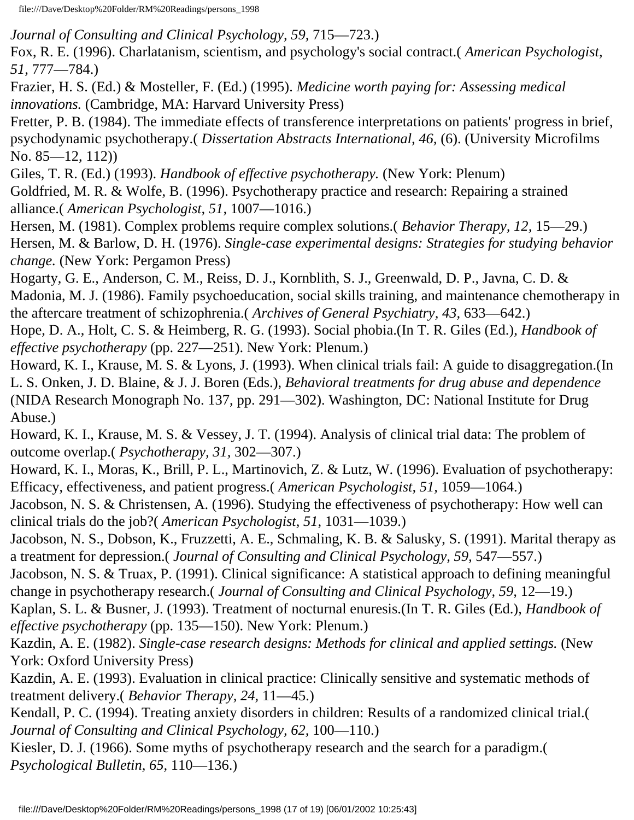*Journal of Consulting and Clinical Psychology, 59, 715—723.*)

<span id="page-16-17"></span>Fox, R. E. (1996). Charlatanism, scientism, and psychology's social contract.( *American Psychologist, 51,* 777—784.)

<span id="page-16-12"></span>Frazier, H. S. (Ed.) & Mosteller, F. (Ed.) (1995). *Medicine worth paying for: Assessing medical innovations.* (Cambridge, MA: Harvard University Press)

<span id="page-16-8"></span>Fretter, P. B. (1984). The immediate effects of transference interpretations on patients' progress in brief, psychodynamic psychotherapy.( *Dissertation Abstracts International, 46,* (6). (University Microfilms No. 85—12, 112))

<span id="page-16-14"></span><span id="page-16-9"></span>Giles, T. R. (Ed.) (1993). *Handbook of effective psychotherapy.* (New York: Plenum) Goldfried, M. R. & Wolfe, B. (1996). Psychotherapy practice and research: Repairing a strained alliance.( *American Psychologist, 51,* 1007—1016.)

<span id="page-16-11"></span><span id="page-16-6"></span>Hersen, M. (1981). Complex problems require complex solutions.( *Behavior Therapy, 12,* 15—29.) Hersen, M. & Barlow, D. H. (1976). *Single-case experimental designs: Strategies for studying behavior change.* (New York: Pergamon Press)

<span id="page-16-2"></span>Hogarty, G. E., Anderson, C. M., Reiss, D. J., Kornblith, S. J., Greenwald, D. P., Javna, C. D. & Madonia, M. J. (1986). Family psychoeducation, social skills training, and maintenance chemotherapy in the aftercare treatment of schizophrenia.( *Archives of General Psychiatry, 43,* 633—642.)

<span id="page-16-3"></span>Hope, D. A., Holt, C. S. & Heimberg, R. G. (1993). Social phobia.(In T. R. Giles (Ed.), *Handbook of effective psychotherapy* (pp. 227—251). New York: Plenum.)

<span id="page-16-19"></span>Howard, K. I., Krause, M. S. & Lyons, J. (1993). When clinical trials fail: A guide to disaggregation.(In L. S. Onken, J. D. Blaine, & J. J. Boren (Eds.), *Behavioral treatments for drug abuse and dependence*  (NIDA Research Monograph No. 137, pp. 291—302). Washington, DC: National Institute for Drug Abuse.)

<span id="page-16-5"></span>Howard, K. I., Krause, M. S. & Vessey, J. T. (1994). Analysis of clinical trial data: The problem of outcome overlap.( *Psychotherapy, 31,* 302—307.)

<span id="page-16-10"></span>Howard, K. I., Moras, K., Brill, P. L., Martinovich, Z. & Lutz, W. (1996). Evaluation of psychotherapy: Efficacy, effectiveness, and patient progress.( *American Psychologist, 51,* 1059—1064.)

<span id="page-16-13"></span>Jacobson, N. S. & Christensen, A. (1996). Studying the effectiveness of psychotherapy: How well can clinical trials do the job?( *American Psychologist, 51,* 1031—1039.)

Jacobson, N. S., Dobson, K., Fruzzetti, A. E., Schmaling, K. B. & Salusky, S. (1991). Marital therapy as a treatment for depression.( *Journal of Consulting and Clinical Psychology, 59,* 547—557.)

<span id="page-16-18"></span>Jacobson, N. S. & Truax, P. (1991). Clinical significance: A statistical approach to defining meaningful change in psychotherapy research.( *Journal of Consulting and Clinical Psychology, 59,* 12—19.)

<span id="page-16-1"></span>Kaplan, S. L. & Busner, J. (1993). Treatment of nocturnal enuresis.(In T. R. Giles (Ed.), *Handbook of effective psychotherapy* (pp. 135—150). New York: Plenum.)

<span id="page-16-16"></span>Kazdin, A. E. (1982). *Single-case research designs: Methods for clinical and applied settings.* (New York: Oxford University Press)

<span id="page-16-7"></span>Kazdin, A. E. (1993). Evaluation in clinical practice: Clinically sensitive and systematic methods of treatment delivery.( *Behavior Therapy, 24,* 11—45.)

<span id="page-16-4"></span>Kendall, P. C. (1994). Treating anxiety disorders in children: Results of a randomized clinical trial.( *Journal of Consulting and Clinical Psychology, 62, 100—110.*)

<span id="page-16-15"></span><span id="page-16-0"></span>Kiesler, D. J. (1966). Some myths of psychotherapy research and the search for a paradigm.( *Psychological Bulletin, 65,* 110—136.)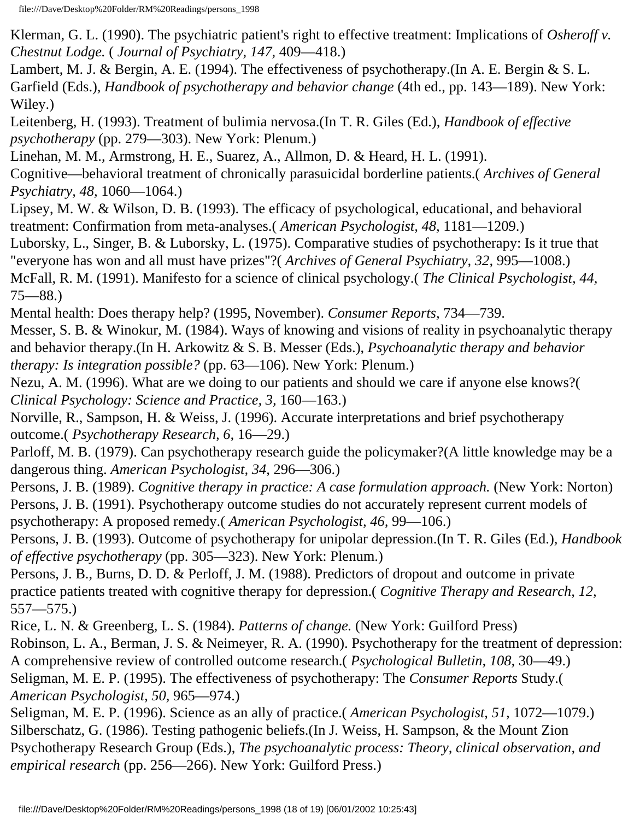Klerman, G. L. (1990). The psychiatric patient's right to effective treatment: Implications of *Osheroff v. Chestnut Lodge.* ( *Journal of Psychiatry, 147,* 409—418.)

<span id="page-17-16"></span>Lambert, M. J. & Bergin, A. E. (1994). The effectiveness of psychotherapy.(In A. E. Bergin & S. L. Garfield (Eds.), *Handbook of psychotherapy and behavior change* (4th ed., pp. 143—189). New York: Wiley.)

<span id="page-17-1"></span>Leitenberg, H. (1993). Treatment of bulimia nervosa.(In T. R. Giles (Ed.), *Handbook of effective psychotherapy* (pp. 279—303). New York: Plenum.)

<span id="page-17-2"></span>Linehan, M. M., Armstrong, H. E., Suarez, A., Allmon, D. & Heard, H. L. (1991).

Cognitive—behavioral treatment of chronically parasuicidal borderline patients.( *Archives of General Psychiatry, 48,* 1060—1064.)

<span id="page-17-17"></span>Lipsey, M. W. & Wilson, D. B. (1993). The efficacy of psychological, educational, and behavioral treatment: Confirmation from meta-analyses.( *American Psychologist, 48,* 1181—1209.)

<span id="page-17-14"></span><span id="page-17-0"></span>Luborsky, L., Singer, B. & Luborsky, L. (1975). Comparative studies of psychotherapy: Is it true that "everyone has won and all must have prizes"?( *Archives of General Psychiatry, 32,* 995—1008.) McFall, R. M. (1991). Manifesto for a science of clinical psychology.( *The Clinical Psychologist, 44,*   $75 - 88.$ 

Mental health: Does therapy help? (1995, November). *Consumer Reports,* 734—739.

<span id="page-17-18"></span>Messer, S. B. & Winokur, M. (1984). Ways of knowing and visions of reality in psychoanalytic therapy and behavior therapy.(In H. Arkowitz & S. B. Messer (Eds.), *Psychoanalytic therapy and behavior therapy: Is integration possible?* (pp. 63—106). New York: Plenum.)

<span id="page-17-10"></span>Nezu, A. M. (1996). What are we doing to our patients and should we care if anyone else knows?( *Clinical Psychology: Science and Practice, 3,* 160—163.)

<span id="page-17-12"></span>Norville, R., Sampson, H. & Weiss, J. (1996). Accurate interpretations and brief psychotherapy outcome.( *Psychotherapy Research, 6,* 16—29.)

<span id="page-17-7"></span>Parloff, M. B. (1979). Can psychotherapy research guide the policymaker?(A little knowledge may be a dangerous thing. *American Psychologist, 34,* 296—306.)

<span id="page-17-9"></span><span id="page-17-4"></span>Persons, J. B. (1989). *Cognitive therapy in practice: A case formulation approach.* (New York: Norton) Persons, J. B. (1991). Psychotherapy outcome studies do not accurately represent current models of psychotherapy: A proposed remedy.( *American Psychologist, 46,* 99—106.)

<span id="page-17-3"></span>Persons, J. B. (1993). Outcome of psychotherapy for unipolar depression.(In T. R. Giles (Ed.), *Handbook of effective psychotherapy* (pp. 305—323). New York: Plenum.)

<span id="page-17-19"></span>Persons, J. B., Burns, D. D. & Perloff, J. M. (1988). Predictors of dropout and outcome in private practice patients treated with cognitive therapy for depression.( *Cognitive Therapy and Research, 12,*  557—575.)

<span id="page-17-15"></span><span id="page-17-5"></span>Rice, L. N. & Greenberg, L. S. (1984). *Patterns of change.* (New York: Guilford Press) Robinson, L. A., Berman, J. S. & Neimeyer, R. A. (1990). Psychotherapy for the treatment of depression:

<span id="page-17-8"></span>A comprehensive review of controlled outcome research.( *Psychological Bulletin, 108,* 30—49.) Seligman, M. E. P. (1995). The effectiveness of psychotherapy: The *Consumer Reports* Study.(

*American Psychologist, 50,* 965—974.)

<span id="page-17-13"></span><span id="page-17-11"></span><span id="page-17-6"></span>Seligman, M. E. P. (1996). Science as an ally of practice.( *American Psychologist, 51,* 1072—1079.) Silberschatz, G. (1986). Testing pathogenic beliefs.(In J. Weiss, H. Sampson, & the Mount Zion Psychotherapy Research Group (Eds.), *The psychoanalytic process: Theory, clinical observation, and empirical research* (pp. 256—266). New York: Guilford Press.)